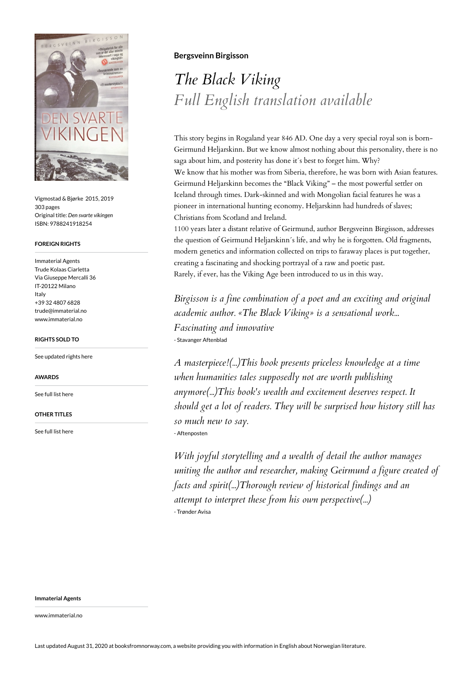

Vigmostad & Bjørke 2015, 2019 303 pages Original title: *Den svarte vikingen* ISBN: 9788241918254

#### **FOREIGN RIGHTS**

Immaterial Agents Trude Kolaas Ciarletta Via Giuseppe Mercalli 36 IT-20122 Milano Italy +39 32 4807 6828 trude@immaterial.no www.immaterial.no

**RIGHTS SOLD TO**

[See updated rights here](http://immaterial.no/books/the-black-viking/)

**AWARDS**

[See full list here](http://immaterial.no/authors/bergsveinn-birgisson/)

### **OTHER TITLES**

[See full list here](http://immaterial.no/authors/bergsveinn-birgisson/)

## **Bergsveinn Birgisson**

# *The Black Viking Full English translation available*

This story begins in Rogaland year 846 AD. One day a very special royal son is born-Geirmund Heljarskinn. But we know almost nothing about this personality, there is no saga about him, and posterity has done it´s best to forget him. Why? We know that his mother was from Siberia, therefore, he was born with Asian features. Geirmund Heljarskinn becomes the "Black Viking" – the most powerful settler on Iceland through times. Dark-skinned and with Mongolian facial features he was a pioneer in international hunting economy. Heljarskinn had hundreds of slaves; Christians from Scotland and Ireland.

1100 years later a distant relative of Geirmund, author Bergsveinn Birgisson, addresses the question of Geirmund Heljarskinn´s life, and why he is forgotten. Old fragments, modern genetics and information collected on trips to faraway places is put together, creating a fascinating and shocking portrayal of a raw and poetic past. Rarely, if ever, has the Viking Age been introduced to us in this way.

*Birgisson is a fine combination of a poet and an exciting and original academic author. «The Black Viking» is a sensational work... Fascinating and innovative* - Stavanger Aftenblad

*A masterpiece!(...)This book presents priceless knowledge at a time when humanities tales supposedly not are worth publishing anymore(...)This book's wealth and excitement deserves respect. It should get a lot of readers. They will be surprised how history still has so much new to say.* - Aftenposten

*With joyful storytelling and a wealth of detail the author manages uniting the author and researcher, making Geirmund a figure created of facts and spirit(...)Thorough review of historical findings and an attempt to interpret these from his own perspective(...)* - Trønder Avisa

**Immaterial Agents**

www.immaterial.no